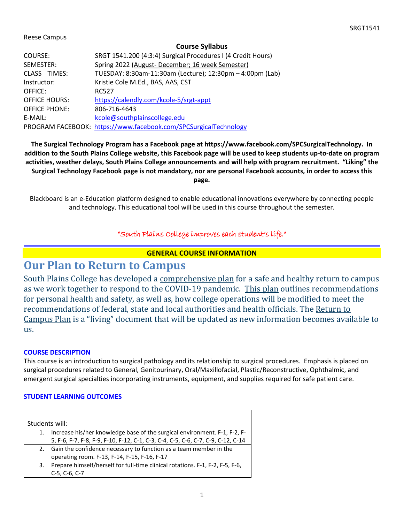#### Reese Campus

#### **Course Syllabus**

| COURSE:              | SRGT 1541.200 (4:3:4) Surgical Procedures I (4 Credit Hours)     |
|----------------------|------------------------------------------------------------------|
| SEMESTER:            | Spring 2022 (August-December; 16 week Semester)                  |
| CLASS TIMES:         | TUESDAY: 8:30am-11:30am (Lecture); 12:30pm - 4:00pm (Lab)        |
| Instructor:          | Kristie Cole M.Ed., BAS, AAS, CST                                |
| OFFICE:              | <b>RC527</b>                                                     |
| <b>OFFICE HOURS:</b> | https://calendly.com/kcole-5/srgt-appt                           |
| <b>OFFICE PHONE:</b> | 806-716-4643                                                     |
| E-MAIL:              | kcole@southplainscollege.edu                                     |
|                      | PROGRAM FACEBOOK: https://www.facebook.com/SPCSurgicalTechnology |

**The Surgical Technology Program has a Facebook page at https://www.facebook.com/SPCSurgicalTechnology. In addition to the South Plains College website, this Facebook page will be used to keep students up-to-date on program activities, weather delays, South Plains College announcements and will help with program recruitment. "Liking" the Surgical Technology Facebook page is not mandatory, nor are personal Facebook accounts, in order to access this page.**

Blackboard is an e-Education platform designed to enable educational innovations everywhere by connecting people and technology. This educational tool will be used in this course throughout the semester.

## "South Plains College improves each student's life."

### **GENERAL COURSE INFORMATION**

# **Our Plan to Return to Campus**

South Plains College has developed a [comprehensive plan](http://www.southplainscollege.edu/emergency/SPCReturnToCampusPlans.pdf) for a safe and healthy return to campus as we work together to respond to the COVID-19 pandemic. [This plan](http://www.southplainscollege.edu/emergency/SPCReturnToCampusPlans.pdf) outlines recommendations for personal health and safety, as well as, how college operations will be modified to meet the recommendations of federal, state and local authorities and health officials. The [Return to](http://www.southplainscollege.edu/emergency/SPCReturnToCampusPlans.pdf)  [Campus Plan](http://www.southplainscollege.edu/emergency/SPCReturnToCampusPlans.pdf) is a "living" document that will be updated as new information becomes available to us.

### **COURSE DESCRIPTION**

This course is an introduction to surgical pathology and its relationship to surgical procedures. Emphasis is placed on surgical procedures related to General, Genitourinary, Oral/Maxillofacial, Plastic/Reconstructive, Ophthalmic, and emergent surgical specialties incorporating instruments, equipment, and supplies required for safe patient care.

#### **STUDENT LEARNING OUTCOMES**

| Students will: |                                                                                  |  |
|----------------|----------------------------------------------------------------------------------|--|
| 1.             | Increase his/her knowledge base of the surgical environment. F-1, F-2, F-        |  |
|                | 5, F-6, F-7, F-8, F-9, F-10, F-12, C-1, C-3, C-4, C-5, C-6, C-7, C-9, C-12, C-14 |  |
| 2.             | Gain the confidence necessary to function as a team member in the                |  |
|                | operating room. F-13, F-14, F-15, F-16, F-17                                     |  |
| 3.             | Prepare himself/herself for full-time clinical rotations. F-1, F-2, F-5, F-6,    |  |
|                | C-5, C-6, C-7                                                                    |  |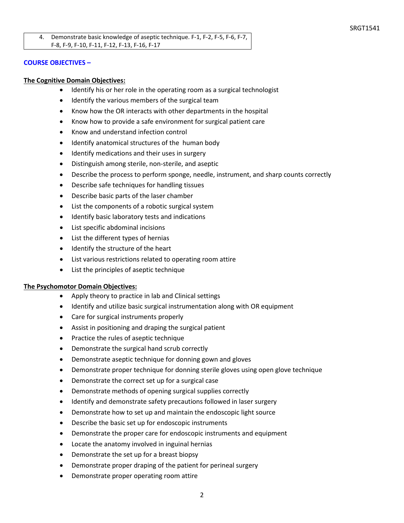4. Demonstrate basic knowledge of aseptic technique. F-1, F-2, F-5, F-6, F-7, F-8, F-9, F-10, F-11, F-12, F-13, F-16, F-17

#### **COURSE OBJECTIVES –**

#### **The Cognitive Domain Objectives:**

- Identify his or her role in the operating room as a surgical technologist
- Identify the various members of the surgical team
- Know how the OR interacts with other departments in the hospital
- Know how to provide a safe environment for surgical patient care
- Know and understand infection control
- Identify anatomical structures of the human body
- Identify medications and their uses in surgery
- Distinguish among sterile, non-sterile, and aseptic
- Describe the process to perform sponge, needle, instrument, and sharp counts correctly
- Describe safe techniques for handling tissues
- Describe basic parts of the laser chamber
- List the components of a robotic surgical system
- Identify basic laboratory tests and indications
- List specific abdominal incisions
- List the different types of hernias
- Identify the structure of the heart
- List various restrictions related to operating room attire
- List the principles of aseptic technique

#### **The Psychomotor Domain Objectives:**

- Apply theory to practice in lab and Clinical settings
- Identify and utilize basic surgical instrumentation along with OR equipment
- Care for surgical instruments properly
- Assist in positioning and draping the surgical patient
- Practice the rules of aseptic technique
- Demonstrate the surgical hand scrub correctly
- Demonstrate aseptic technique for donning gown and gloves
- Demonstrate proper technique for donning sterile gloves using open glove technique
- Demonstrate the correct set up for a surgical case
- Demonstrate methods of opening surgical supplies correctly
- Identify and demonstrate safety precautions followed in laser surgery
- Demonstrate how to set up and maintain the endoscopic light source
- Describe the basic set up for endoscopic instruments
- Demonstrate the proper care for endoscopic instruments and equipment
- Locate the anatomy involved in inguinal hernias
- Demonstrate the set up for a breast biopsy
- Demonstrate proper draping of the patient for perineal surgery
- Demonstrate proper operating room attire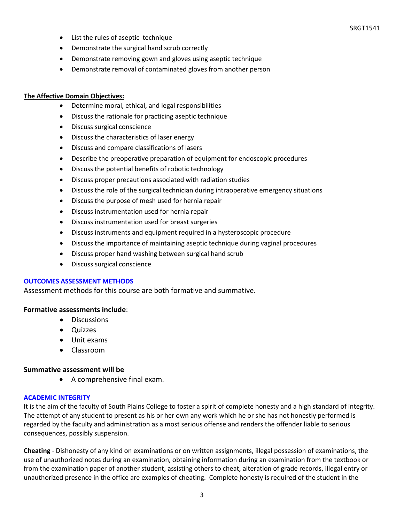SRGT1541

- List the rules of aseptic technique
- Demonstrate the surgical hand scrub correctly
- Demonstrate removing gown and gloves using aseptic technique
- Demonstrate removal of contaminated gloves from another person

#### **The Affective Domain Objectives:**

- Determine moral, ethical, and legal responsibilities
- Discuss the rationale for practicing aseptic technique
- Discuss surgical conscience
- Discuss the characteristics of laser energy
- Discuss and compare classifications of lasers
- Describe the preoperative preparation of equipment for endoscopic procedures
- Discuss the potential benefits of robotic technology
- Discuss proper precautions associated with radiation studies
- Discuss the role of the surgical technician during intraoperative emergency situations
- Discuss the purpose of mesh used for hernia repair
- Discuss instrumentation used for hernia repair
- Discuss instrumentation used for breast surgeries
- Discuss instruments and equipment required in a hysteroscopic procedure
- Discuss the importance of maintaining aseptic technique during vaginal procedures
- Discuss proper hand washing between surgical hand scrub
- Discuss surgical conscience

### **OUTCOMES ASSESSMENT METHODS**

Assessment methods for this course are both formative and summative.

### **Formative assessments include**:

- Discussions
- Quizzes
- Unit exams
- Classroom

### **Summative assessment will be**

• A comprehensive final exam.

### **ACADEMIC INTEGRITY**

It is the aim of the faculty of South Plains College to foster a spirit of complete honesty and a high standard of integrity. The attempt of any student to present as his or her own any work which he or she has not honestly performed is regarded by the faculty and administration as a most serious offense and renders the offender liable to serious consequences, possibly suspension.

**Cheating** - Dishonesty of any kind on examinations or on written assignments, illegal possession of examinations, the use of unauthorized notes during an examination, obtaining information during an examination from the textbook or from the examination paper of another student, assisting others to cheat, alteration of grade records, illegal entry or unauthorized presence in the office are examples of cheating. Complete honesty is required of the student in the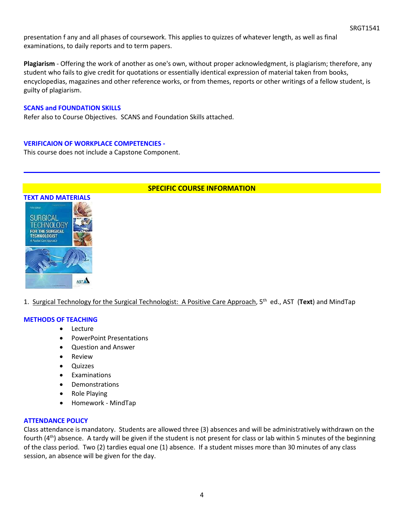presentation f any and all phases of coursework. This applies to quizzes of whatever length, as well as final examinations, to daily reports and to term papers.

**Plagiarism** - Offering the work of another as one's own, without proper acknowledgment, is plagiarism; therefore, any student who fails to give credit for quotations or essentially identical expression of material taken from books, encyclopedias, magazines and other reference works, or from themes, reports or other writings of a fellow student, is guilty of plagiarism.

#### **SCANS and FOUNDATION SKILLS**

Refer also to Course Objectives. SCANS and Foundation Skills attached.

#### **VERIFICAION OF WORKPLACE COMPETENCIES -**

This course does not include a Capstone Component.



### **SPECIFIC COURSE INFORMATION**

1. Surgical Technology for the Surgical Technologist: A Positive Care Approach, 5th ed., AST (**Text**) and MindTap

#### **METHODS OF TEACHING**

- Lecture
- PowerPoint Presentations
- Question and Answer
- Review
- Quizzes
- **Examinations**
- Demonstrations
- Role Playing
- Homework MindTap

#### **ATTENDANCE POLICY**

Class attendance is mandatory. Students are allowed three (3) absences and will be administratively withdrawn on the fourth  $(4<sup>th</sup>)$  absence. A tardy will be given if the student is not present for class or lab within 5 minutes of the beginning of the class period. Two (2) tardies equal one (1) absence. If a student misses more than 30 minutes of any class session, an absence will be given for the day.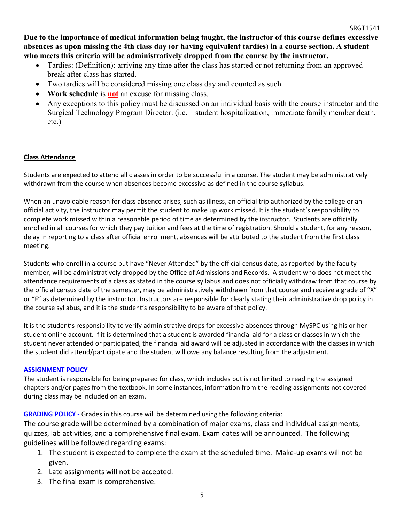**Due to the importance of medical information being taught, the instructor of this course defines excessive absences as upon missing the 4th class day (or having equivalent tardies) in a course section. A student who meets this criteria will be administratively dropped from the course by the instructor.** 

- Tardies: (Definition): arriving any time after the class has started or not returning from an approved break after class has started.
- Two tardies will be considered missing one class day and counted as such.
- **Work schedule** is **not** an excuse for missing class.
- Any exceptions to this policy must be discussed on an individual basis with the course instructor and the Surgical Technology Program Director. (i.e. – student hospitalization, immediate family member death, etc.)

## **Class Attendance**

Students are expected to attend all classes in order to be successful in a course. The student may be administratively withdrawn from the course when absences become excessive as defined in the course syllabus.

When an unavoidable reason for class absence arises, such as illness, an official trip authorized by the college or an official activity, the instructor may permit the student to make up work missed. It is the student's responsibility to complete work missed within a reasonable period of time as determined by the instructor. Students are officially enrolled in all courses for which they pay tuition and fees at the time of registration. Should a student, for any reason, delay in reporting to a class after official enrollment, absences will be attributed to the student from the first class meeting.

Students who enroll in a course but have "Never Attended" by the official census date, as reported by the faculty member, will be administratively dropped by the Office of Admissions and Records. A student who does not meet the attendance requirements of a class as stated in the course syllabus and does not officially withdraw from that course by the official census date of the semester, may be administratively withdrawn from that course and receive a grade of "X" or "F" as determined by the instructor. Instructors are responsible for clearly stating their administrative drop policy in the course syllabus, and it is the student's responsibility to be aware of that policy.

It is the student's responsibility to verify administrative drops for excessive absences through MySPC using his or her student online account. If it is determined that a student is awarded financial aid for a class or classes in which the student never attended or participated, the financial aid award will be adjusted in accordance with the classes in which the student did attend/participate and the student will owe any balance resulting from the adjustment.

## **ASSIGNMENT POLICY**

The student is responsible for being prepared for class, which includes but is not limited to reading the assigned chapters and/or pages from the textbook. In some instances, information from the reading assignments not covered during class may be included on an exam.

**GRADING POLICY -** Grades in this course will be determined using the following criteria:

The course grade will be determined by a combination of major exams, class and individual assignments, quizzes, lab activities, and a comprehensive final exam. Exam dates will be announced. The following guidelines will be followed regarding exams:

- 1. The student is expected to complete the exam at the scheduled time. Make-up exams will not be given.
- 2. Late assignments will not be accepted.
- 3. The final exam is comprehensive.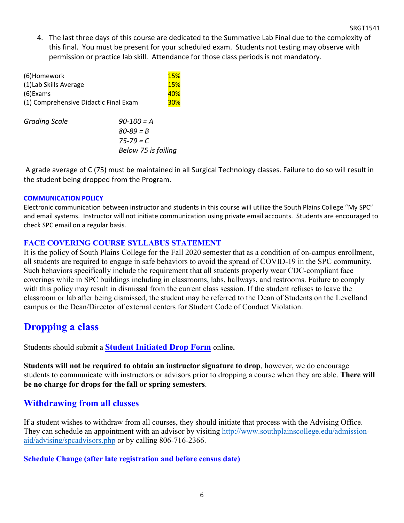4. The last three days of this course are dedicated to the Summative Lab Final due to the complexity of this final. You must be present for your scheduled exam. Students not testing may observe with permission or practice lab skill. Attendance for those class periods is not mandatory.

| (6)Homework                           |                     | <b>15%</b> |  |
|---------------------------------------|---------------------|------------|--|
| (1) Lab Skills Average                |                     | <b>15%</b> |  |
| $(6)$ Exams                           |                     |            |  |
| (1) Comprehensive Didactic Final Exam |                     |            |  |
|                                       |                     |            |  |
| <b>Grading Scale</b>                  | $90 - 100 = A$      |            |  |
|                                       | $80 - 89 = B$       |            |  |
|                                       | $75 - 79 = C$       |            |  |
|                                       | Below 75 is failing |            |  |
|                                       |                     |            |  |

A grade average of C (75) must be maintained in all Surgical Technology classes. Failure to do so will result in the student being dropped from the Program.

# **COMMUNICATION POLICY**

Electronic communication between instructor and students in this course will utilize the South Plains College "My SPC" and email systems. Instructor will not initiate communication using private email accounts. Students are encouraged to check SPC email on a regular basis.

# **FACE COVERING COURSE SYLLABUS STATEMENT**

It is the policy of South Plains College for the Fall 2020 semester that as a condition of on-campus enrollment, all students are required to engage in safe behaviors to avoid the spread of COVID-19 in the SPC community. Such behaviors specifically include the requirement that all students properly wear CDC-compliant face coverings while in SPC buildings including in classrooms, labs, hallways, and restrooms. Failure to comply with this policy may result in dismissal from the current class session. If the student refuses to leave the classroom or lab after being dismissed, the student may be referred to the Dean of Students on the Levelland campus or the Dean/Director of external centers for Student Code of Conduct Violation.

# **Dropping a class**

Students should submit a **Student [Initiated](https://forms.office.com/Pages/ResponsePage.aspx?id=ZrGRbWrP6UWeIqAmJdCCqRkmPIpp6AVCixFJfcqITt9UODExTUFXS0JOODhJOTlYM0NEV1kzRk9GMS4u) Drop Form** online**.**

**Students will not be required to obtain an instructor signature to drop**, however, we do encourage students to communicate with instructors or advisors prior to dropping a course when they are able. **There will be no charge for drops for the fall or spring semesters**.

# **Withdrawing from all classes**

If a student wishes to withdraw from all courses, they should initiate that process with the Advising Office. They can schedule an appointment with an advisor by visiting [http://www.southplainscollege.edu/admission](http://www.southplainscollege.edu/admission-aid/advising/spcadvisors.php)[aid/advising/spcadvisors.php](http://www.southplainscollege.edu/admission-aid/advising/spcadvisors.php) or by calling 806-716-2366.

# **Schedule Change (after late registration and before census date)**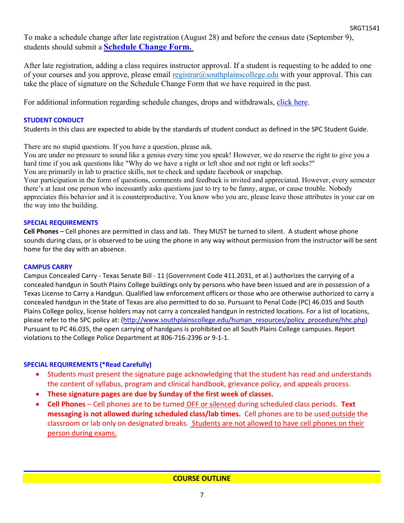To make a schedule change after late registration (August 28) and before the census date (September 9), students should submit a **[Schedule](https://forms.office.com/Pages/ResponsePage.aspx?id=ZrGRbWrP6UWeIqAmJdCCqRkmPIpp6AVCixFJfcqITt9UODIyTkRZSkFHVDNSVFRFV0g0T0tVWVAwRi4u) Change Form.**

After late registration, adding a class requires instructor approval. If a student is requesting to be added to one of your courses and you approve, please email [registrar@southplainscollege.edu](mailto:registrar@southplainscollege.edu) with your approval. This can take the place of signature on the Schedule Change Form that we have required in the past.

For additional information regarding schedule changes, drops and withdrawals, [click](http://www.southplainscollege.edu/admission-aid/apply/schedulechanges.php) here.

# **STUDENT CONDUCT**

Students in this class are expected to abide by the standards of student conduct as defined in the SPC Student Guide.

There are no stupid questions. If you have a question, please ask.

You are under no pressure to sound like a genius every time you speak! However, we do reserve the right to give you a hard time if you ask questions like "Why do we have a right or left shoe and not right or left socks?"

You are primarily in lab to practice skills, not to check and update facebook or snapchap.

Your participation in the form of questions, comments and feedback is invited and appreciated. However, every semester there's at least one person who incessantly asks questions just to try to be funny, argue, or cause trouble. Nobody appreciates this behavior and it is counterproductive. You know who you are, please leave those attributes in your car on the way into the building.

# **SPECIAL REQUIREMENTS**

**Cell Phones** – Cell phones are permitted in class and lab. They MUST be turned to silent. A student whose phone sounds during class, or is observed to be using the phone in any way without permission from the instructor will be sent home for the day with an absence.

## **CAMPUS CARRY**

Campus Concealed Carry - Texas Senate Bill - 11 (Government Code 411.2031, et al.) authorizes the carrying of a concealed handgun in South Plains College buildings only by persons who have been issued and are in possession of a Texas License to Carry a Handgun. Qualified law enforcement officers or those who are otherwise authorized to carry a concealed handgun in the State of Texas are also permitted to do so. Pursuant to Penal Code (PC) 46.035 and South Plains College policy, license holders may not carry a concealed handgun in restricted locations. For a list of locations, please refer to the SPC policy at: [\(http://www.southplainscollege.edu/human\\_resources/policy\\_procedure/hhc.php\)](http://www.southplainscollege.edu/human_resources/policy_procedure/hhc.php) Pursuant to PC 46.035, the open carrying of handguns is prohibited on all South Plains College campuses. Report violations to the College Police Department at 806-716-2396 or 9-1-1.

# **SPECIAL REQUIREMENTS (\*Read Carefully)**

- Students must present the signature page acknowledging that the student has read and understands the content of syllabus, program and clinical handbook, grievance policy, and appeals process.
- **These signature pages are due by Sunday of the first week of classes.**
- **Cell Phones** Cell phones are to be turned OFF or silenced during scheduled class periods. **Text messaging is not allowed during scheduled class/lab times.** Cell phones are to be used outside the classroom or lab only on designated breaks. Students are not allowed to have cell phones on their person during exams.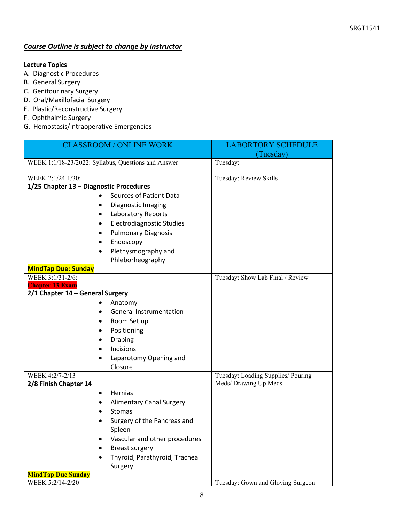# *Course Outline is subject to change by instructor*

# **Lecture Topics**

- A. Diagnostic Procedures
- B. General Surgery
- C. Genitourinary Surgery
- D. Oral/Maxillofacial Surgery
- E. Plastic/Reconstructive Surgery
- F. Ophthalmic Surgery
- G. Hemostasis/Intraoperative Emergencies

| <b>CLASSROOM / ONLINE WORK</b>                      | <b>LABORTORY SCHEDULE</b>                                   |
|-----------------------------------------------------|-------------------------------------------------------------|
|                                                     | (Tuesday)                                                   |
| WEEK 1:1/18-23/2022: Syllabus, Questions and Answer | Tuesday:                                                    |
| WEEK 2:1/24-1/30:                                   | Tuesday: Review Skills                                      |
| 1/25 Chapter 13 - Diagnostic Procedures             |                                                             |
| <b>Sources of Patient Data</b>                      |                                                             |
| Diagnostic Imaging                                  |                                                             |
| Laboratory Reports                                  |                                                             |
| <b>Electrodiagnostic Studies</b>                    |                                                             |
| <b>Pulmonary Diagnosis</b>                          |                                                             |
| Endoscopy                                           |                                                             |
| Plethysmography and                                 |                                                             |
| Phleborheography                                    |                                                             |
| <b>MindTap Due: Sunday</b>                          |                                                             |
| WEEK 3:1/31-2/6:<br><b>Chapter 13 Exam</b>          | Tuesday: Show Lab Final / Review                            |
| 2/1 Chapter 14 - General Surgery                    |                                                             |
| Anatomy                                             |                                                             |
| <b>General Instrumentation</b>                      |                                                             |
| Room Set up                                         |                                                             |
| Positioning                                         |                                                             |
| <b>Draping</b>                                      |                                                             |
| Incisions                                           |                                                             |
| Laparotomy Opening and                              |                                                             |
| Closure                                             |                                                             |
| WEEK 4:2/7-2/13<br>2/8 Finish Chapter 14            | Tuesday: Loading Supplies/ Pouring<br>Meds/ Drawing Up Meds |
| Hernias                                             |                                                             |
| <b>Alimentary Canal Surgery</b>                     |                                                             |
| Stomas                                              |                                                             |
| Surgery of the Pancreas and<br>Spleen               |                                                             |
| Vascular and other procedures                       |                                                             |
| <b>Breast surgery</b>                               |                                                             |
| Thyroid, Parathyroid, Tracheal                      |                                                             |
| Surgery                                             |                                                             |
| <b>MindTap Due Sunday</b>                           |                                                             |
| WEEK 5:2/14-2/20                                    | Tuesday: Gown and Gloving Surgeon                           |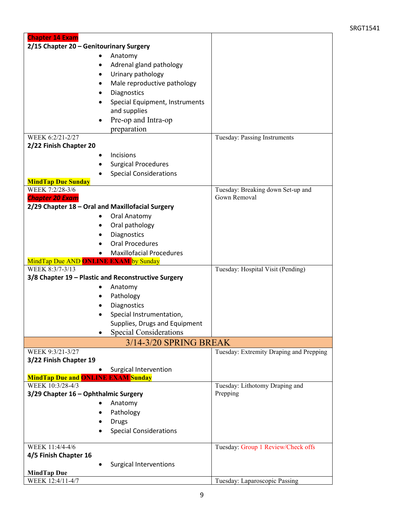| 2/15 Chapter 20 - Genitourinary Surgery<br>Anatomy<br>Adrenal gland pathology<br>Urinary pathology<br>Male reproductive pathology<br>Diagnostics<br>Special Equipment, Instruments<br>and supplies<br>Pre-op and Intra-op<br>preparation<br>WEEK 6:2/21-2/27<br>Tuesday: Passing Instruments<br>2/22 Finish Chapter 20<br>Incisions<br><b>Surgical Procedures</b><br><b>Special Considerations</b><br><b>MindTap Due Sunday</b><br>WEEK 7:2/28-3/6<br>Tuesday: Breaking down Set-up and<br>Gown Removal<br><b>Chapter 20 Exam</b><br>2/29 Chapter 18 - Oral and Maxillofacial Surgery<br>Oral Anatomy<br>Oral pathology<br>Diagnostics<br><b>Oral Procedures</b><br><b>Maxillofacial Procedures</b><br>MindTap Due AND ONLINE EXAM by Sunday<br>WEEK 8:3/7-3/13<br>Tuesday: Hospital Visit (Pending)<br>3/8 Chapter 19 - Plastic and Reconstructive Surgery<br>Anatomy<br>Pathology<br>Diagnostics<br>Special Instrumentation,<br>Supplies, Drugs and Equipment<br><b>Special Considerations</b><br>3/14-3/20 SPRING BREAK<br>WEEK 9:3/21-3/27<br>Tuesday: Extremity Draping and Prepping<br>3/22 Finish Chapter 19<br>Surgical Intervention<br><b>MindTap Due and ONLINE EXAM Sunday</b><br>WEEK 10:3/28-4/3<br>Tuesday: Lithotomy Draping and<br>Prepping<br>3/29 Chapter 16 - Ophthalmic Surgery<br>Anatomy<br>Pathology<br><b>Drugs</b><br><b>Special Considerations</b><br>WEEK 11:4/4-4/6<br>Tuesday: Group 1 Review/Check offs<br>4/5 Finish Chapter 16<br><b>Surgical Interventions</b><br><b>MindTap Due</b><br>WEEK 12:4/11-4/7<br>Tuesday: Laparoscopic Passing | <b>Chapter 14 Exam</b> |  |
|----------------------------------------------------------------------------------------------------------------------------------------------------------------------------------------------------------------------------------------------------------------------------------------------------------------------------------------------------------------------------------------------------------------------------------------------------------------------------------------------------------------------------------------------------------------------------------------------------------------------------------------------------------------------------------------------------------------------------------------------------------------------------------------------------------------------------------------------------------------------------------------------------------------------------------------------------------------------------------------------------------------------------------------------------------------------------------------------------------------------------------------------------------------------------------------------------------------------------------------------------------------------------------------------------------------------------------------------------------------------------------------------------------------------------------------------------------------------------------------------------------------------------------------------------------------------------|------------------------|--|
|                                                                                                                                                                                                                                                                                                                                                                                                                                                                                                                                                                                                                                                                                                                                                                                                                                                                                                                                                                                                                                                                                                                                                                                                                                                                                                                                                                                                                                                                                                                                                                            |                        |  |
|                                                                                                                                                                                                                                                                                                                                                                                                                                                                                                                                                                                                                                                                                                                                                                                                                                                                                                                                                                                                                                                                                                                                                                                                                                                                                                                                                                                                                                                                                                                                                                            |                        |  |
|                                                                                                                                                                                                                                                                                                                                                                                                                                                                                                                                                                                                                                                                                                                                                                                                                                                                                                                                                                                                                                                                                                                                                                                                                                                                                                                                                                                                                                                                                                                                                                            |                        |  |
|                                                                                                                                                                                                                                                                                                                                                                                                                                                                                                                                                                                                                                                                                                                                                                                                                                                                                                                                                                                                                                                                                                                                                                                                                                                                                                                                                                                                                                                                                                                                                                            |                        |  |
|                                                                                                                                                                                                                                                                                                                                                                                                                                                                                                                                                                                                                                                                                                                                                                                                                                                                                                                                                                                                                                                                                                                                                                                                                                                                                                                                                                                                                                                                                                                                                                            |                        |  |
|                                                                                                                                                                                                                                                                                                                                                                                                                                                                                                                                                                                                                                                                                                                                                                                                                                                                                                                                                                                                                                                                                                                                                                                                                                                                                                                                                                                                                                                                                                                                                                            |                        |  |
|                                                                                                                                                                                                                                                                                                                                                                                                                                                                                                                                                                                                                                                                                                                                                                                                                                                                                                                                                                                                                                                                                                                                                                                                                                                                                                                                                                                                                                                                                                                                                                            |                        |  |
|                                                                                                                                                                                                                                                                                                                                                                                                                                                                                                                                                                                                                                                                                                                                                                                                                                                                                                                                                                                                                                                                                                                                                                                                                                                                                                                                                                                                                                                                                                                                                                            |                        |  |
|                                                                                                                                                                                                                                                                                                                                                                                                                                                                                                                                                                                                                                                                                                                                                                                                                                                                                                                                                                                                                                                                                                                                                                                                                                                                                                                                                                                                                                                                                                                                                                            |                        |  |
|                                                                                                                                                                                                                                                                                                                                                                                                                                                                                                                                                                                                                                                                                                                                                                                                                                                                                                                                                                                                                                                                                                                                                                                                                                                                                                                                                                                                                                                                                                                                                                            |                        |  |
|                                                                                                                                                                                                                                                                                                                                                                                                                                                                                                                                                                                                                                                                                                                                                                                                                                                                                                                                                                                                                                                                                                                                                                                                                                                                                                                                                                                                                                                                                                                                                                            |                        |  |
|                                                                                                                                                                                                                                                                                                                                                                                                                                                                                                                                                                                                                                                                                                                                                                                                                                                                                                                                                                                                                                                                                                                                                                                                                                                                                                                                                                                                                                                                                                                                                                            |                        |  |
|                                                                                                                                                                                                                                                                                                                                                                                                                                                                                                                                                                                                                                                                                                                                                                                                                                                                                                                                                                                                                                                                                                                                                                                                                                                                                                                                                                                                                                                                                                                                                                            |                        |  |
|                                                                                                                                                                                                                                                                                                                                                                                                                                                                                                                                                                                                                                                                                                                                                                                                                                                                                                                                                                                                                                                                                                                                                                                                                                                                                                                                                                                                                                                                                                                                                                            |                        |  |
|                                                                                                                                                                                                                                                                                                                                                                                                                                                                                                                                                                                                                                                                                                                                                                                                                                                                                                                                                                                                                                                                                                                                                                                                                                                                                                                                                                                                                                                                                                                                                                            |                        |  |
|                                                                                                                                                                                                                                                                                                                                                                                                                                                                                                                                                                                                                                                                                                                                                                                                                                                                                                                                                                                                                                                                                                                                                                                                                                                                                                                                                                                                                                                                                                                                                                            |                        |  |
|                                                                                                                                                                                                                                                                                                                                                                                                                                                                                                                                                                                                                                                                                                                                                                                                                                                                                                                                                                                                                                                                                                                                                                                                                                                                                                                                                                                                                                                                                                                                                                            |                        |  |
|                                                                                                                                                                                                                                                                                                                                                                                                                                                                                                                                                                                                                                                                                                                                                                                                                                                                                                                                                                                                                                                                                                                                                                                                                                                                                                                                                                                                                                                                                                                                                                            |                        |  |
|                                                                                                                                                                                                                                                                                                                                                                                                                                                                                                                                                                                                                                                                                                                                                                                                                                                                                                                                                                                                                                                                                                                                                                                                                                                                                                                                                                                                                                                                                                                                                                            |                        |  |
|                                                                                                                                                                                                                                                                                                                                                                                                                                                                                                                                                                                                                                                                                                                                                                                                                                                                                                                                                                                                                                                                                                                                                                                                                                                                                                                                                                                                                                                                                                                                                                            |                        |  |
|                                                                                                                                                                                                                                                                                                                                                                                                                                                                                                                                                                                                                                                                                                                                                                                                                                                                                                                                                                                                                                                                                                                                                                                                                                                                                                                                                                                                                                                                                                                                                                            |                        |  |
|                                                                                                                                                                                                                                                                                                                                                                                                                                                                                                                                                                                                                                                                                                                                                                                                                                                                                                                                                                                                                                                                                                                                                                                                                                                                                                                                                                                                                                                                                                                                                                            |                        |  |
|                                                                                                                                                                                                                                                                                                                                                                                                                                                                                                                                                                                                                                                                                                                                                                                                                                                                                                                                                                                                                                                                                                                                                                                                                                                                                                                                                                                                                                                                                                                                                                            |                        |  |
|                                                                                                                                                                                                                                                                                                                                                                                                                                                                                                                                                                                                                                                                                                                                                                                                                                                                                                                                                                                                                                                                                                                                                                                                                                                                                                                                                                                                                                                                                                                                                                            |                        |  |
|                                                                                                                                                                                                                                                                                                                                                                                                                                                                                                                                                                                                                                                                                                                                                                                                                                                                                                                                                                                                                                                                                                                                                                                                                                                                                                                                                                                                                                                                                                                                                                            |                        |  |
|                                                                                                                                                                                                                                                                                                                                                                                                                                                                                                                                                                                                                                                                                                                                                                                                                                                                                                                                                                                                                                                                                                                                                                                                                                                                                                                                                                                                                                                                                                                                                                            |                        |  |
|                                                                                                                                                                                                                                                                                                                                                                                                                                                                                                                                                                                                                                                                                                                                                                                                                                                                                                                                                                                                                                                                                                                                                                                                                                                                                                                                                                                                                                                                                                                                                                            |                        |  |
|                                                                                                                                                                                                                                                                                                                                                                                                                                                                                                                                                                                                                                                                                                                                                                                                                                                                                                                                                                                                                                                                                                                                                                                                                                                                                                                                                                                                                                                                                                                                                                            |                        |  |
|                                                                                                                                                                                                                                                                                                                                                                                                                                                                                                                                                                                                                                                                                                                                                                                                                                                                                                                                                                                                                                                                                                                                                                                                                                                                                                                                                                                                                                                                                                                                                                            |                        |  |
|                                                                                                                                                                                                                                                                                                                                                                                                                                                                                                                                                                                                                                                                                                                                                                                                                                                                                                                                                                                                                                                                                                                                                                                                                                                                                                                                                                                                                                                                                                                                                                            |                        |  |
|                                                                                                                                                                                                                                                                                                                                                                                                                                                                                                                                                                                                                                                                                                                                                                                                                                                                                                                                                                                                                                                                                                                                                                                                                                                                                                                                                                                                                                                                                                                                                                            |                        |  |
|                                                                                                                                                                                                                                                                                                                                                                                                                                                                                                                                                                                                                                                                                                                                                                                                                                                                                                                                                                                                                                                                                                                                                                                                                                                                                                                                                                                                                                                                                                                                                                            |                        |  |
|                                                                                                                                                                                                                                                                                                                                                                                                                                                                                                                                                                                                                                                                                                                                                                                                                                                                                                                                                                                                                                                                                                                                                                                                                                                                                                                                                                                                                                                                                                                                                                            |                        |  |
|                                                                                                                                                                                                                                                                                                                                                                                                                                                                                                                                                                                                                                                                                                                                                                                                                                                                                                                                                                                                                                                                                                                                                                                                                                                                                                                                                                                                                                                                                                                                                                            |                        |  |
|                                                                                                                                                                                                                                                                                                                                                                                                                                                                                                                                                                                                                                                                                                                                                                                                                                                                                                                                                                                                                                                                                                                                                                                                                                                                                                                                                                                                                                                                                                                                                                            |                        |  |
|                                                                                                                                                                                                                                                                                                                                                                                                                                                                                                                                                                                                                                                                                                                                                                                                                                                                                                                                                                                                                                                                                                                                                                                                                                                                                                                                                                                                                                                                                                                                                                            |                        |  |
|                                                                                                                                                                                                                                                                                                                                                                                                                                                                                                                                                                                                                                                                                                                                                                                                                                                                                                                                                                                                                                                                                                                                                                                                                                                                                                                                                                                                                                                                                                                                                                            |                        |  |
|                                                                                                                                                                                                                                                                                                                                                                                                                                                                                                                                                                                                                                                                                                                                                                                                                                                                                                                                                                                                                                                                                                                                                                                                                                                                                                                                                                                                                                                                                                                                                                            |                        |  |
|                                                                                                                                                                                                                                                                                                                                                                                                                                                                                                                                                                                                                                                                                                                                                                                                                                                                                                                                                                                                                                                                                                                                                                                                                                                                                                                                                                                                                                                                                                                                                                            |                        |  |
|                                                                                                                                                                                                                                                                                                                                                                                                                                                                                                                                                                                                                                                                                                                                                                                                                                                                                                                                                                                                                                                                                                                                                                                                                                                                                                                                                                                                                                                                                                                                                                            |                        |  |
|                                                                                                                                                                                                                                                                                                                                                                                                                                                                                                                                                                                                                                                                                                                                                                                                                                                                                                                                                                                                                                                                                                                                                                                                                                                                                                                                                                                                                                                                                                                                                                            |                        |  |
|                                                                                                                                                                                                                                                                                                                                                                                                                                                                                                                                                                                                                                                                                                                                                                                                                                                                                                                                                                                                                                                                                                                                                                                                                                                                                                                                                                                                                                                                                                                                                                            |                        |  |
|                                                                                                                                                                                                                                                                                                                                                                                                                                                                                                                                                                                                                                                                                                                                                                                                                                                                                                                                                                                                                                                                                                                                                                                                                                                                                                                                                                                                                                                                                                                                                                            |                        |  |
|                                                                                                                                                                                                                                                                                                                                                                                                                                                                                                                                                                                                                                                                                                                                                                                                                                                                                                                                                                                                                                                                                                                                                                                                                                                                                                                                                                                                                                                                                                                                                                            |                        |  |
|                                                                                                                                                                                                                                                                                                                                                                                                                                                                                                                                                                                                                                                                                                                                                                                                                                                                                                                                                                                                                                                                                                                                                                                                                                                                                                                                                                                                                                                                                                                                                                            |                        |  |
|                                                                                                                                                                                                                                                                                                                                                                                                                                                                                                                                                                                                                                                                                                                                                                                                                                                                                                                                                                                                                                                                                                                                                                                                                                                                                                                                                                                                                                                                                                                                                                            |                        |  |
|                                                                                                                                                                                                                                                                                                                                                                                                                                                                                                                                                                                                                                                                                                                                                                                                                                                                                                                                                                                                                                                                                                                                                                                                                                                                                                                                                                                                                                                                                                                                                                            |                        |  |
|                                                                                                                                                                                                                                                                                                                                                                                                                                                                                                                                                                                                                                                                                                                                                                                                                                                                                                                                                                                                                                                                                                                                                                                                                                                                                                                                                                                                                                                                                                                                                                            |                        |  |
|                                                                                                                                                                                                                                                                                                                                                                                                                                                                                                                                                                                                                                                                                                                                                                                                                                                                                                                                                                                                                                                                                                                                                                                                                                                                                                                                                                                                                                                                                                                                                                            |                        |  |
|                                                                                                                                                                                                                                                                                                                                                                                                                                                                                                                                                                                                                                                                                                                                                                                                                                                                                                                                                                                                                                                                                                                                                                                                                                                                                                                                                                                                                                                                                                                                                                            |                        |  |
|                                                                                                                                                                                                                                                                                                                                                                                                                                                                                                                                                                                                                                                                                                                                                                                                                                                                                                                                                                                                                                                                                                                                                                                                                                                                                                                                                                                                                                                                                                                                                                            |                        |  |
|                                                                                                                                                                                                                                                                                                                                                                                                                                                                                                                                                                                                                                                                                                                                                                                                                                                                                                                                                                                                                                                                                                                                                                                                                                                                                                                                                                                                                                                                                                                                                                            |                        |  |
|                                                                                                                                                                                                                                                                                                                                                                                                                                                                                                                                                                                                                                                                                                                                                                                                                                                                                                                                                                                                                                                                                                                                                                                                                                                                                                                                                                                                                                                                                                                                                                            |                        |  |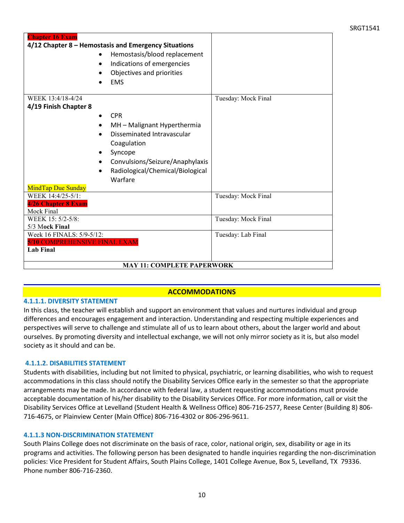#### SRGT1541

| <b>Chapter 16 Exam</b>                               |                                  |                     |  |
|------------------------------------------------------|----------------------------------|---------------------|--|
| 4/12 Chapter 8 - Hemostasis and Emergency Situations |                                  |                     |  |
|                                                      | Hemostasis/blood replacement     |                     |  |
|                                                      | Indications of emergencies       |                     |  |
|                                                      | Objectives and priorities        |                     |  |
|                                                      | <b>EMS</b>                       |                     |  |
|                                                      |                                  |                     |  |
| WEEK 13:4/18-4/24                                    |                                  | Tuesday: Mock Final |  |
| 4/19 Finish Chapter 8                                |                                  |                     |  |
|                                                      | <b>CPR</b><br>$\bullet$          |                     |  |
|                                                      | MH - Malignant Hyperthermia      |                     |  |
|                                                      | Disseminated Intravascular       |                     |  |
|                                                      |                                  |                     |  |
|                                                      | Coagulation                      |                     |  |
|                                                      | Syncope                          |                     |  |
|                                                      | Convulsions/Seizure/Anaphylaxis  |                     |  |
|                                                      | Radiological/Chemical/Biological |                     |  |
|                                                      | Warfare                          |                     |  |
| MindTap Due Sunday                                   |                                  |                     |  |
| WEEK 14:4/25-5/1:                                    |                                  | Tuesday: Mock Final |  |
| 4/26 Chapter 8 Exam                                  |                                  |                     |  |
| Mock Final                                           |                                  |                     |  |
| WEEK 15: 5/2-5/8:                                    |                                  | Tuesday: Mock Final |  |
| 5/3 Mock Final                                       |                                  |                     |  |
| Week 16 FINALS: 5/9-5/12:                            |                                  | Tuesday: Lab Final  |  |
| 5/10 COMPREHENSIVE FINAL EXAM                        |                                  |                     |  |
| <b>Lab Final</b>                                     |                                  |                     |  |
|                                                      |                                  |                     |  |
| <b>MAY 11: COMPLETE PAPERWORK</b>                    |                                  |                     |  |

### **ACCOMMODATIONS**

#### **4.1.1.1. DIVERSITY STATEMENT**

In this class, the teacher will establish and support an environment that values and nurtures individual and group differences and encourages engagement and interaction. Understanding and respecting multiple experiences and perspectives will serve to challenge and stimulate all of us to learn about others, about the larger world and about ourselves. By promoting diversity and intellectual exchange, we will not only mirror society as it is, but also model society as it should and can be.

#### **4.1.1.2. DISABILITIES STATEMENT**

Students with disabilities, including but not limited to physical, psychiatric, or learning disabilities, who wish to request accommodations in this class should notify the Disability Services Office early in the semester so that the appropriate arrangements may be made. In accordance with federal law, a student requesting accommodations must provide acceptable documentation of his/her disability to the Disability Services Office. For more information, call or visit the Disability Services Office at Levelland (Student Health & Wellness Office) 806-716-2577, Reese Center (Building 8) 806- 716-4675, or Plainview Center (Main Office) 806-716-4302 or 806-296-9611.

#### **4.1.1.3 NON-DISCRIMINATION STATEMENT**

South Plains College does not discriminate on the basis of race, color, national origin, sex, disability or age in its programs and activities. The following person has been designated to handle inquiries regarding the non-discrimination policies: Vice President for Student Affairs, South Plains College, 1401 College Avenue, Box 5, Levelland, TX 79336. Phone number 806-716-2360.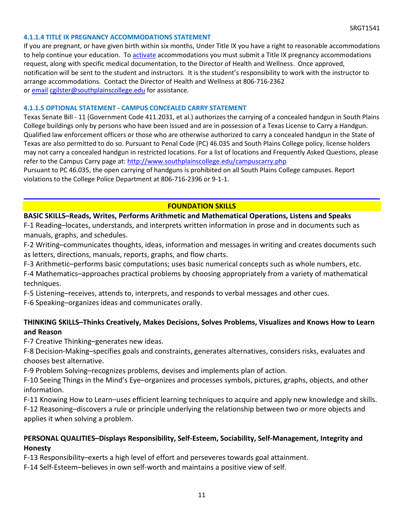### **4.1.1.4 TITLE IX PREGNANCY ACCOMMODATIONS STATEMENT**

If you are pregnant, or have given birth within six months, Under Title IX you have a right to reasonable accommodations to help continue your education. To [activate](http://www.southplainscollege.edu/employees/manualshandbooks/facultyhandbook/sec4.php) accommodations you must submit a Title IX pregnancy accommodations request, along with specific medical documentation, to the Director of Health and Wellness. Once approved, notification will be sent to the student and instructors. It is the student's responsibility to work with the instructor to arrange accommodations. Contact the Director of Health and Wellness at 806-716-2362 or [email](http://www.southplainscollege.edu/employees/manualshandbooks/facultyhandbook/sec4.php) [cgilster@southplainscollege.edu](mailto:cgilster@southplainscollege.edu) for assistance.

### **4.1.1.5 OPTIONAL STATEMENT - CAMPUS [CONCEALED CARRY](http://www.southplainscollege.edu/employees/manualshandbooks/facultyhandbook/sec4.php) STATEMENT**

Texas Senate Bill - 11 (Government Code 411.2031, et al.) authorizes the carrying of a concealed handgun in South Plains College buildings only by persons who have been issued and are in possession of a Texas License to Carry a Handgun. Qualified law enforcement officers or those who are otherwise authorized to carry a concealed handgun in the State of Texas are also permitted to do so. Pursuant to Penal Code (PC) 46.035 and South Plains College policy, license holders may not carry a concealed handgun in restricted locations. For a list of locations and Frequently Asked Questions, please refer to the Campus Carry page at: <http://www.southplainscollege.edu/campuscarry.php>

Pursuant to PC 46.035, the open carrying of handguns is prohibited on all South Plains College campuses. Report violations to the College Police Department at 806-716-2396 or 9-1-1.

### **FOUNDATION SKILLS**

### **BASIC SKILLS–Reads, Writes, Performs Arithmetic and Mathematical Operations, Listens and Speaks**

F-1 Reading–locates, understands, and interprets written information in prose and in documents such as manuals, graphs, and schedules.

F-2 Writing–communicates thoughts, ideas, information and messages in writing and creates documents such as letters, directions, manuals, reports, graphs, and flow charts.

F-3 Arithmetic–performs basic computations; uses basic numerical concepts such as whole numbers, etc.

F-4 Mathematics–approaches practical problems by choosing appropriately from a variety of mathematical techniques.

F-5 Listening–receives, attends to, interprets, and responds to verbal messages and other cues.

F-6 Speaking–organizes ideas and communicates orally.

# **THINKING SKILLS–Thinks Creatively, Makes Decisions, Solves Problems, Visualizes and Knows How to Learn and Reason**

F-7 Creative Thinking–generates new ideas.

F-8 Decision-Making–specifies goals and constraints, generates alternatives, considers risks, evaluates and chooses best alternative.

F-9 Problem Solving–recognizes problems, devises and implements plan of action.

F-10 Seeing Things in the Mind's Eye–organizes and processes symbols, pictures, graphs, objects, and other information.

F-11 Knowing How to Learn–uses efficient learning techniques to acquire and apply new knowledge and skills. F-12 Reasoning–discovers a rule or principle underlying the relationship between two or more objects and applies it when solving a problem.

# **PERSONAL QUALITIES–Displays Responsibility, Self-Esteem, Sociability, Self-Management, Integrity and Honesty**

F-13 Responsibility–exerts a high level of effort and perseveres towards goal attainment.

F-14 Self-Esteem–believes in own self-worth and maintains a positive view of self.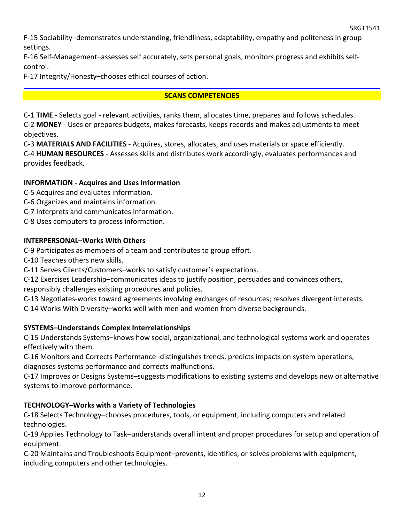F-15 Sociability–demonstrates understanding, friendliness, adaptability, empathy and politeness in group settings.

F-16 Self-Management–assesses self accurately, sets personal goals, monitors progress and exhibits selfcontrol.

F-17 Integrity/Honesty–chooses ethical courses of action.

# **SCANS COMPETENCIES**

C-1 **TIME** - Selects goal - relevant activities, ranks them, allocates time, prepares and follows schedules.

C-2 **MONEY** - Uses or prepares budgets, makes forecasts, keeps records and makes adjustments to meet objectives.

C-3 **MATERIALS AND FACILITIES** - Acquires, stores, allocates, and uses materials or space efficiently.

C-4 **HUMAN RESOURCES** - Assesses skills and distributes work accordingly, evaluates performances and provides feedback.

# **INFORMATION - Acquires and Uses Information**

C-5 Acquires and evaluates information.

- C-6 Organizes and maintains information.
- C-7 Interprets and communicates information.
- C-8 Uses computers to process information.

# **INTERPERSONAL–Works With Others**

C-9 Participates as members of a team and contributes to group effort.

- C-10 Teaches others new skills.
- C-11 Serves Clients/Customers–works to satisfy customer's expectations.

C-12 Exercises Leadership–communicates ideas to justify position, persuades and convinces others, responsibly challenges existing procedures and policies.

C-13 Negotiates-works toward agreements involving exchanges of resources; resolves divergent interests.

C-14 Works With Diversity–works well with men and women from diverse backgrounds.

# **SYSTEMS–Understands Complex Interrelationships**

C-15 Understands Systems–knows how social, organizational, and technological systems work and operates effectively with them.

C-16 Monitors and Corrects Performance–distinguishes trends, predicts impacts on system operations, diagnoses systems performance and corrects malfunctions.

C-17 Improves or Designs Systems–suggests modifications to existing systems and develops new or alternative systems to improve performance.

# **TECHNOLOGY–Works with a Variety of Technologies**

C-18 Selects Technology–chooses procedures, tools, or equipment, including computers and related technologies.

C-19 Applies Technology to Task–understands overall intent and proper procedures for setup and operation of equipment.

C-20 Maintains and Troubleshoots Equipment–prevents, identifies, or solves problems with equipment, including computers and other technologies.